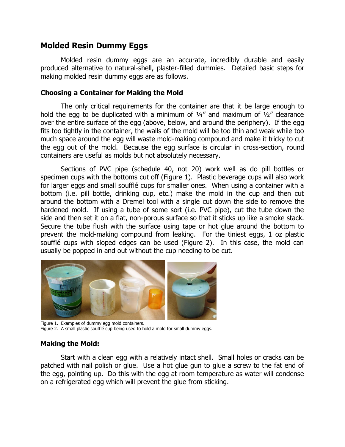# **Molded Resin Dummy Eggs**

Molded resin dummy eggs are an accurate, incredibly durable and easily produced alternative to natural-shell, plaster-filled dummies. Detailed basic steps for making molded resin dummy eggs are as follows.

### **Choosing a Container for Making the Mold**

The only critical requirements for the container are that it be large enough to hold the egg to be duplicated with a minimum of  $\frac{1}{4}$  and maximum of  $\frac{1}{2}$  clearance over the entire surface of the egg (above, below, and around the periphery). If the egg fits too tightly in the container, the walls of the mold will be too thin and weak while too much space around the egg will waste mold-making compound and make it tricky to cut the egg out of the mold. Because the egg surface is circular in cross-section, round containers are useful as molds but not absolutely necessary.

Sections of PVC pipe (schedule 40, not 20) work well as do pill bottles or specimen cups with the bottoms cut off (Figure 1). Plastic beverage cups will also work for larger eggs and small soufflé cups for smaller ones. When using a container with a bottom (i.e. pill bottle, drinking cup, etc.) make the mold in the cup and then cut around the bottom with a Dremel tool with a single cut down the side to remove the hardened mold. If using a tube of some sort (i.e. PVC pipe), cut the tube down the side and then set it on a flat, non-porous surface so that it sticks up like a smoke stack. Secure the tube flush with the surface using tape or hot glue around the bottom to prevent the mold-making compound from leaking. For the tiniest eggs, 1 oz plastic soufflé cups with sloped edges can be used (Figure 2). In this case, the mold can usually be popped in and out without the cup needing to be cut.



Figure 1. Examples of dummy egg mold containers. Figure 2. A small plastic soufflé cup being used to hold a mold for small dummy eggs.

### **Making the Mold:**

Start with a clean egg with a relatively intact shell. Small holes or cracks can be patched with nail polish or glue. Use a hot glue gun to glue a screw to the fat end of the egg, pointing up. Do this with the egg at room temperature as water will condense on a refrigerated egg which will prevent the glue from sticking.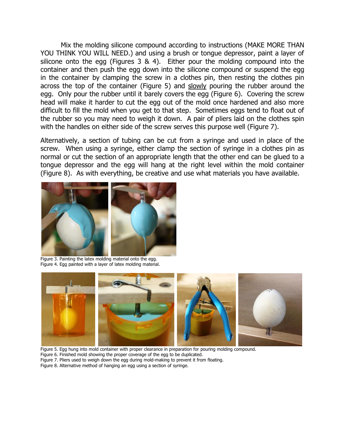Mix the molding silicone compound according to instructions (MAKE MORE THAN YOU THINK YOU WILL NEED.) and using a brush or tongue depressor, paint a layer of silicone onto the egg (Figures 3 & 4). Either pour the molding compound into the container and then push the egg down into the silicone compound or suspend the egg in the container by clamping the screw in a clothes pin, then resting the clothes pin across the top of the container (Figure 5) and slowly pouring the rubber around the egg. Only pour the rubber until it barely covers the egg (Figure 6). Covering the screw head will make it harder to cut the egg out of the mold once hardened and also more difficult to fill the mold when you get to that step. Sometimes eggs tend to float out of the rubber so you may need to weigh it down. A pair of pliers laid on the clothes spin with the handles on either side of the screw serves this purpose well (Figure 7).

Alternatively, a section of tubing can be cut from a syringe and used in place of the screw. When using a syringe, either clamp the section of syringe in a clothes pin as normal or cut the section of an appropriate length that the other end can be glued to a tongue depressor and the egg will hang at the right level within the mold container (Figure 8). As with everything, be creative and use what materials you have available.



Figure 3. Painting the latex molding material onto the egg. Figure 4. Egg painted with a layer of latex molding material.



Figure 5. Egg hung into mold container with proper clearance in preparation for pouring molding compound.

- Figure 6. Finished mold showing the proper coverage of the egg to be duplicated.
- Figure 7. Pliers used to weigh down the egg during mold-making to prevent it from floating.
- Figure 8. Alternative method of hanging an egg using a section of syringe.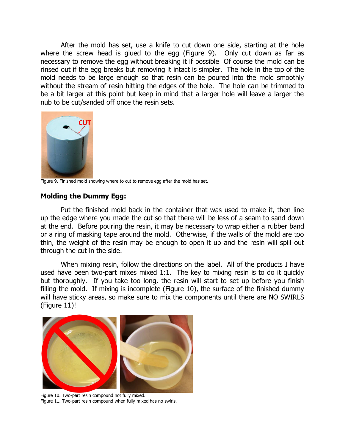After the mold has set, use a knife to cut down one side, starting at the hole where the screw head is glued to the egg (Figure 9). Only cut down as far as necessary to remove the egg without breaking it if possible Of course the mold can be rinsed out if the egg breaks but removing it intact is simpler. The hole in the top of the mold needs to be large enough so that resin can be poured into the mold smoothly without the stream of resin hitting the edges of the hole. The hole can be trimmed to be a bit larger at this point but keep in mind that a larger hole will leave a larger the nub to be cut/sanded off once the resin sets.



Figure 9. Finished mold showing where to cut to remove egg after the mold has set.

#### **Molding the Dummy Egg:**

Put the finished mold back in the container that was used to make it, then line up the edge where you made the cut so that there will be less of a seam to sand down at the end. Before pouring the resin, it may be necessary to wrap either a rubber band or a ring of masking tape around the mold. Otherwise, if the walls of the mold are too thin, the weight of the resin may be enough to open it up and the resin will spill out through the cut in the side.

When mixing resin, follow the directions on the label. All of the products I have used have been two-part mixes mixed 1:1. The key to mixing resin is to do it quickly but thoroughly. If you take too long, the resin will start to set up before you finish filling the mold. If mixing is incomplete (Figure 10), the surface of the finished dummy will have sticky areas, so make sure to mix the components until there are NO SWIRLS (Figure 11)!



Figure 10. Two-part resin compound not fully mixed. Figure 11. Two-part resin compound when fully mixed has no swirls.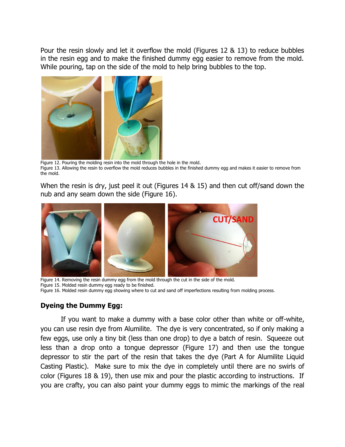Pour the resin slowly and let it overflow the mold (Figures 12 & 13) to reduce bubbles in the resin egg and to make the finished dummy egg easier to remove from the mold. While pouring, tap on the side of the mold to help bring bubbles to the top.



Figure 12. Pouring the molding resin into the mold through the hole in the mold. Figure 13. Allowing the resin to overflow the mold reduces bubbles in the finished dummy egg and makes it easier to remove from the mold.

When the resin is dry, just peel it out (Figures 14 & 15) and then cut off/sand down the nub and any seam down the side (Figure 16).



Figure 14. Removing the resin dummy egg from the mold through the cut in the side of the mold. Figure 15. Molded resin dummy egg ready to be finished. Figure 16. Molded resin dummy egg showing where to cut and sand off imperfections resulting from molding process.

### **Dyeing the Dummy Egg:**

If you want to make a dummy with a base color other than white or off-white, you can use resin dye from Alumilite. The dye is very concentrated, so if only making a few eggs, use only a tiny bit (less than one drop) to dye a batch of resin. Squeeze out less than a drop onto a tongue depressor (Figure 17) and then use the tongue depressor to stir the part of the resin that takes the dye (Part A for Alumilite Liquid Casting Plastic). Make sure to mix the dye in completely until there are no swirls of color (Figures 18 & 19), then use mix and pour the plastic according to instructions. If you are crafty, you can also paint your dummy eggs to mimic the markings of the real